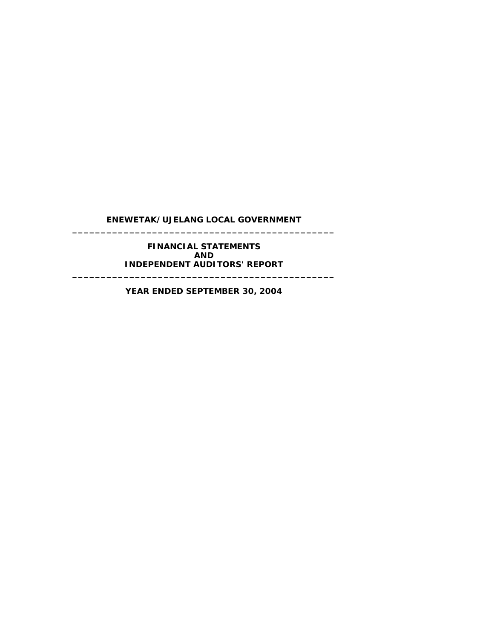#### **ENEWETAK/UJELANG LOCAL GOVERNMENT \_\_\_\_\_\_\_\_\_\_\_\_\_\_\_\_\_\_\_\_\_\_\_\_\_\_\_\_\_\_\_\_\_\_\_\_\_\_\_\_\_\_\_\_\_\_**

**FINANCIAL STATEMENTS AND INDEPENDENT AUDITORS' REPORT**

**YEAR ENDED SEPTEMBER 30, 2004**

**\_\_\_\_\_\_\_\_\_\_\_\_\_\_\_\_\_\_\_\_\_\_\_\_\_\_\_\_\_\_\_\_\_\_\_\_\_\_\_\_\_\_\_\_\_\_**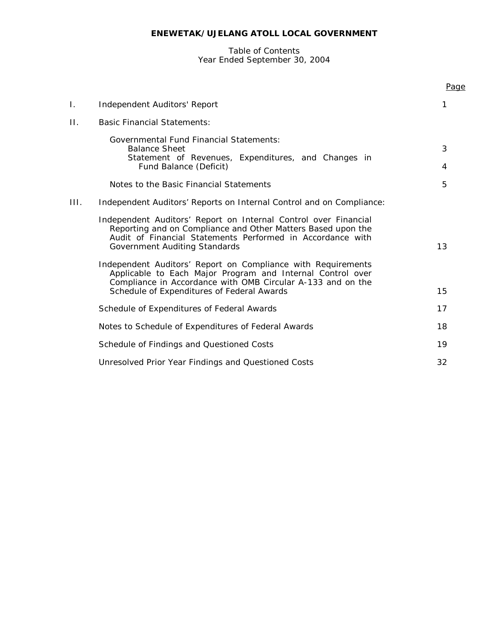#### Table of Contents Year Ended September 30, 2004

|      |                                                                                                                                                                                                                                         | Page |
|------|-----------------------------------------------------------------------------------------------------------------------------------------------------------------------------------------------------------------------------------------|------|
| Τ.   | Independent Auditors' Report                                                                                                                                                                                                            | 1    |
| П.   | <b>Basic Financial Statements:</b>                                                                                                                                                                                                      |      |
|      | <b>Governmental Fund Financial Statements:</b><br><b>Balance Sheet</b>                                                                                                                                                                  | 3    |
|      | Statement of Revenues, Expenditures, and Changes in<br>Fund Balance (Deficit)                                                                                                                                                           | 4    |
|      | Notes to the Basic Financial Statements                                                                                                                                                                                                 | 5    |
| III. | Independent Auditors' Reports on Internal Control and on Compliance:                                                                                                                                                                    |      |
|      | Independent Auditors' Report on Internal Control over Financial<br>Reporting and on Compliance and Other Matters Based upon the<br>Audit of Financial Statements Performed in Accordance with<br>Government Auditing Standards          | 13   |
|      | Independent Auditors' Report on Compliance with Requirements<br>Applicable to Each Major Program and Internal Control over<br>Compliance in Accordance with OMB Circular A-133 and on the<br>Schedule of Expenditures of Federal Awards | 15   |
|      | Schedule of Expenditures of Federal Awards                                                                                                                                                                                              | 17   |
|      | Notes to Schedule of Expenditures of Federal Awards                                                                                                                                                                                     | 18   |
|      | Schedule of Findings and Questioned Costs                                                                                                                                                                                               | 19   |
|      | Unresolved Prior Year Findings and Questioned Costs                                                                                                                                                                                     | 32   |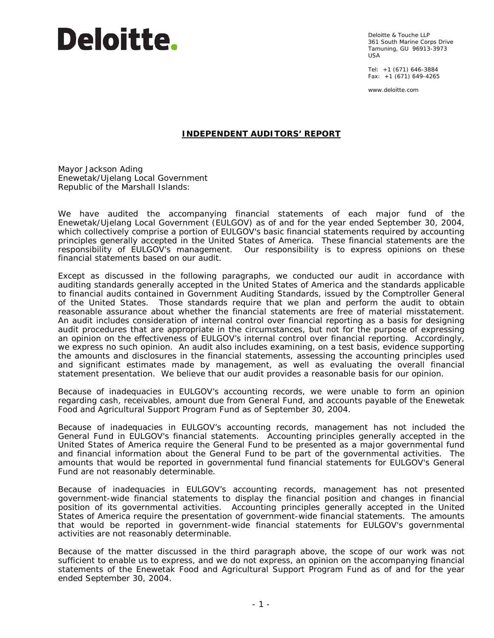

Deloitte & Touche LLP 361 South Marine Corps Drive Tamuning, GU 96913-3973 USA

Tel: +1 (671) 646-3884 Fax: +1 (671) 649-4265

www.deloitte.com

## **INDEPENDENT AUDITORS' REPORT**

Mayor Jackson Ading Enewetak/Ujelang Local Government Republic of the Marshall Islands:

We have audited the accompanying financial statements of each major fund of the Enewetak/Ujelang Local Government (EULGOV) as of and for the year ended September 30, 2004, which collectively comprise a portion of EULGOV's basic financial statements required by accounting principles generally accepted in the United States of America. These financial statements are the responsibility of EULGOV's management. Our responsibility is to express opinions on these financial statements based on our audit.

Except as discussed in the following paragraphs, we conducted our audit in accordance with auditing standards generally accepted in the United States of America and the standards applicable to financial audits contained in *Government Auditing Standards*, issued by the Comptroller General Those standards require that we plan and perform the audit to obtain reasonable assurance about whether the financial statements are free of material misstatement. An audit includes consideration of internal control over financial reporting as a basis for designing audit procedures that are appropriate in the circumstances, but not for the purpose of expressing an opinion on the effectiveness of EULGOV's internal control over financial reporting. Accordingly, we express no such opinion. An audit also includes examining, on a test basis, evidence supporting the amounts and disclosures in the financial statements, assessing the accounting principles used and significant estimates made by management, as well as evaluating the overall financial statement presentation. We believe that our audit provides a reasonable basis for our opinion.

Because of inadequacies in EULGOV's accounting records, we were unable to form an opinion regarding cash, receivables, amount due from General Fund, and accounts payable of the Enewetak Food and Agricultural Support Program Fund as of September 30, 2004.

Because of inadequacies in EULGOV's accounting records, management has not included the General Fund in EULGOV's financial statements. Accounting principles generally accepted in the United States of America require the General Fund to be presented as a major governmental fund and financial information about the General Fund to be part of the governmental activities. The amounts that would be reported in governmental fund financial statements for EULGOV's General Fund are not reasonably determinable.

Because of inadequacies in EULGOV's accounting records, management has not presented government-wide financial statements to display the financial position and changes in financial position of its governmental activities. Accounting principles generally accepted in the United States of America require the presentation of government-wide financial statements. The amounts that would be reported in government-wide financial statements for EULGOV's governmental activities are not reasonably determinable.

Because of the matter discussed in the third paragraph above, the scope of our work was not sufficient to enable us to express, and we do not express, an opinion on the accompanying financial statements of the Enewetak Food and Agricultural Support Program Fund as of and for the year ended September 30, 2004.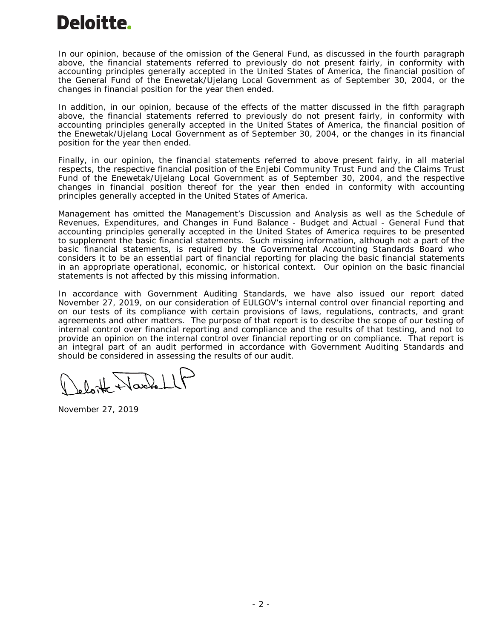# Deloitte.

In our opinion, because of the omission of the General Fund, as discussed in the fourth paragraph above, the financial statements referred to previously do not present fairly, in conformity with accounting principles generally accepted in the United States of America, the financial position of the General Fund of the Enewetak/Ujelang Local Government as of September 30, 2004, or the changes in financial position for the year then ended.

In addition, in our opinion, because of the effects of the matter discussed in the fifth paragraph above, the financial statements referred to previously do not present fairly, in conformity with accounting principles generally accepted in the United States of America, the financial position of the Enewetak/Ujelang Local Government as of September 30, 2004, or the changes in its financial position for the year then ended.

Finally, in our opinion, the financial statements referred to above present fairly, in all material respects, the respective financial position of the Enjebi Community Trust Fund and the Claims Trust Fund of the Enewetak/Ujelang Local Government as of September 30, 2004, and the respective changes in financial position thereof for the year then ended in conformity with accounting principles generally accepted in the United States of America.

Management has omitted the Management's Discussion and Analysis as well as the Schedule of Revenues, Expenditures, and Changes in Fund Balance - Budget and Actual - General Fund that accounting principles generally accepted in the United States of America requires to be presented to supplement the basic financial statements. Such missing information, although not a part of the basic financial statements, is required by the Governmental Accounting Standards Board who considers it to be an essential part of financial reporting for placing the basic financial statements in an appropriate operational, economic, or historical context. Our opinion on the basic financial statements is not affected by this missing information.

In accordance with *Government Auditing Standards*, we have also issued our report dated November 27, 2019, on our consideration of EULGOV's internal control over financial reporting and on our tests of its compliance with certain provisions of laws, regulations, contracts, and grant agreements and other matters. The purpose of that report is to describe the scope of our testing of internal control over financial reporting and compliance and the results of that testing, and not to provide an opinion on the internal control over financial reporting or on compliance. That report is an integral part of an audit performed in accordance with *Government Auditing Standards* and should be considered in assessing the results of our audit.

loite Nachel

November 27, 2019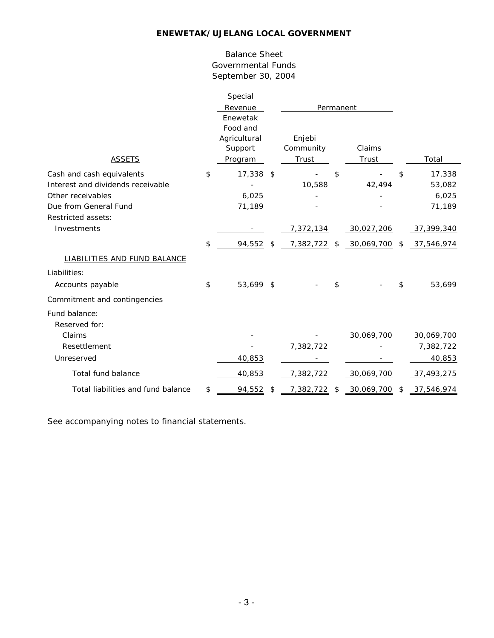# Balance Sheet Governmental Funds September 30, 2004

| <b>ASSETS</b>                       | Special<br>Revenue<br>Enewetak<br>Food and<br>Agricultural<br>Support<br>Program | Permanent<br>Enjebi<br>Community<br>Trust | Claims<br>Trust  | Total            |
|-------------------------------------|----------------------------------------------------------------------------------|-------------------------------------------|------------------|------------------|
| Cash and cash equivalents           | \$<br>17,338 \$                                                                  |                                           | \$               | \$<br>17,338     |
| Interest and dividends receivable   |                                                                                  | 10,588                                    | 42,494           | 53,082           |
| Other receivables                   | 6,025                                                                            |                                           |                  | 6,025            |
| Due from General Fund               | 71,189                                                                           |                                           |                  | 71,189           |
| Restricted assets:                  |                                                                                  |                                           |                  |                  |
| Investments                         |                                                                                  | 7,372,134                                 | 30,027,206       | 37,399,340       |
|                                     | \$<br>94,552                                                                     | \$<br>7,382,722                           | \$<br>30,069,700 | \$<br>37,546,974 |
| <b>LIABILITIES AND FUND BALANCE</b> |                                                                                  |                                           |                  |                  |
| Liabilities:                        |                                                                                  |                                           |                  |                  |
| Accounts payable                    | \$<br>53,699 \$                                                                  |                                           | \$               | \$<br>53,699     |
| Commitment and contingencies        |                                                                                  |                                           |                  |                  |
| Fund balance:<br>Reserved for:      |                                                                                  |                                           |                  |                  |
| Claims                              |                                                                                  |                                           | 30,069,700       | 30,069,700       |
| Resettlement                        |                                                                                  | 7,382,722                                 |                  | 7,382,722        |
| Unreserved                          | 40,853                                                                           |                                           |                  | 40,853           |
| Total fund balance                  | 40,853                                                                           | 7,382,722                                 | 30,069,700       | 37,493,275       |
|                                     |                                                                                  |                                           |                  |                  |
| Total liabilities and fund balance  | \$<br>94,552                                                                     | \$<br>7,382,722                           | \$<br>30,069,700 | \$<br>37,546,974 |

See accompanying notes to financial statements.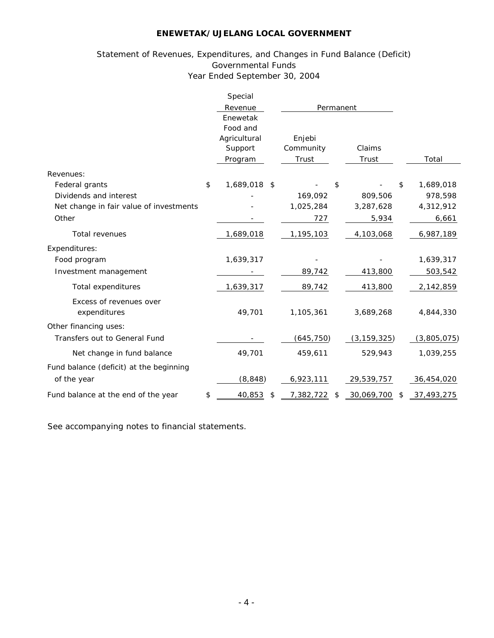# Statement of Revenues, Expenditures, and Changes in Fund Balance (Deficit) Year Ended September 30, 2004 Governmental Funds

|                                         | Special<br>Revenue                                         | Permanent                    |                  |                  |
|-----------------------------------------|------------------------------------------------------------|------------------------------|------------------|------------------|
|                                         | Enewetak<br>Food and<br>Agricultural<br>Support<br>Program | Enjebi<br>Community<br>Trust | Claims<br>Trust  | Total            |
| Revenues:                               |                                                            |                              |                  |                  |
| Federal grants                          | \$<br>1,689,018 \$                                         |                              | \$               | \$<br>1,689,018  |
| Dividends and interest                  |                                                            | 169,092                      | 809,506          | 978,598          |
| Net change in fair value of investments |                                                            | 1,025,284                    | 3,287,628        | 4,312,912        |
| Other                                   |                                                            | 727                          | 5,934            | 6,661            |
| Total revenues                          | 1,689,018                                                  | 1,195,103                    | 4,103,068        | 6,987,189        |
| Expenditures:                           |                                                            |                              |                  |                  |
| Food program                            | 1,639,317                                                  |                              |                  | 1,639,317        |
| Investment management                   |                                                            | 89,742                       | 413,800          | 503,542          |
| <b>Total expenditures</b>               | 1,639,317                                                  | 89,742                       | 413,800          | 2,142,859        |
| Excess of revenues over<br>expenditures | 49,701                                                     | 1,105,361                    | 3,689,268        | 4,844,330        |
| Other financing uses:                   |                                                            |                              |                  |                  |
| Transfers out to General Fund           |                                                            | (645, 750)                   | (3, 159, 325)    | (3,805,075)      |
| Net change in fund balance              | 49,701                                                     | 459,611                      | 529,943          | 1,039,255        |
| Fund balance (deficit) at the beginning |                                                            |                              |                  |                  |
| of the year                             | (8, 848)                                                   | 6,923,111                    | 29,539,757       | 36,454,020       |
| Fund balance at the end of the year     | \$<br>40,853                                               | \$<br>7,382,722              | \$<br>30,069,700 | \$<br>37,493,275 |

See accompanying notes to financial statements.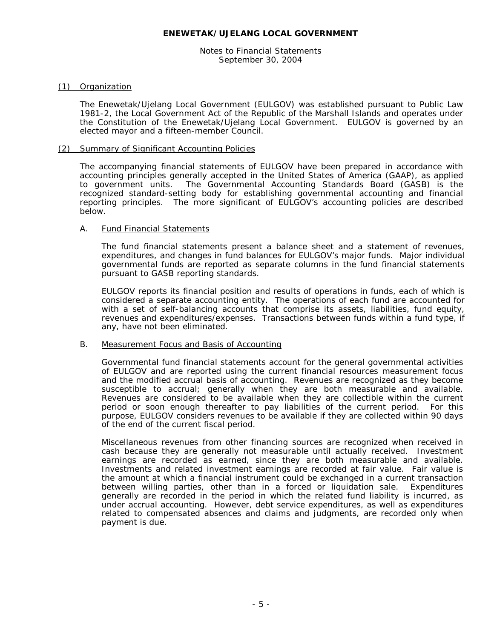Notes to Financial Statements September 30, 2004

#### (1) Organization

The Enewetak/Ujelang Local Government (EULGOV) was established pursuant to Public Law 1981-2, the Local Government Act of the Republic of the Marshall Islands and operates under the Constitution of the Enewetak/Ujelang Local Government. EULGOV is governed by an elected mayor and a fifteen-member Council.

#### (2) Summary of Significant Accounting Policies

The accompanying financial statements of EULGOV have been prepared in accordance with accounting principles generally accepted in the United States of America (GAAP), as applied to government units. The Governmental Accounting Standards Board (GASB) is the recognized standard-setting body for establishing governmental accounting and financial reporting principles. The more significant of EULGOV's accounting policies are described below.

#### A. Fund Financial Statements

The fund financial statements present a balance sheet and a statement of revenues, expenditures, and changes in fund balances for EULGOV's major funds. Major individual governmental funds are reported as separate columns in the fund financial statements pursuant to GASB reporting standards.

EULGOV reports its financial position and results of operations in funds, each of which is considered a separate accounting entity. The operations of each fund are accounted for with a set of self-balancing accounts that comprise its assets, liabilities, fund equity, revenues and expenditures/expenses. Transactions between funds within a fund type, if any, have not been eliminated.

#### B. Measurement Focus and Basis of Accounting

Governmental fund financial statements account for the general governmental activities of EULGOV and are reported using the current financial resources measurement focus and the modified accrual basis of accounting. Revenues are recognized as they become susceptible to accrual; generally when they are both measurable and available. Revenues are considered to be available when they are collectible within the current period or soon enough thereafter to pay liabilities of the current period. For this purpose, EULGOV considers revenues to be available if they are collected within 90 days of the end of the current fiscal period.

Miscellaneous revenues from other financing sources are recognized when received in cash because they are generally not measurable until actually received. Investment earnings are recorded as earned, since they are both measurable and available. Investments and related investment earnings are recorded at fair value. Fair value is the amount at which a financial instrument could be exchanged in a current transaction between willing parties, other than in a forced or liquidation sale. Expenditures generally are recorded in the period in which the related fund liability is incurred, as under accrual accounting. However, debt service expenditures, as well as expenditures related to compensated absences and claims and judgments, are recorded only when payment is due.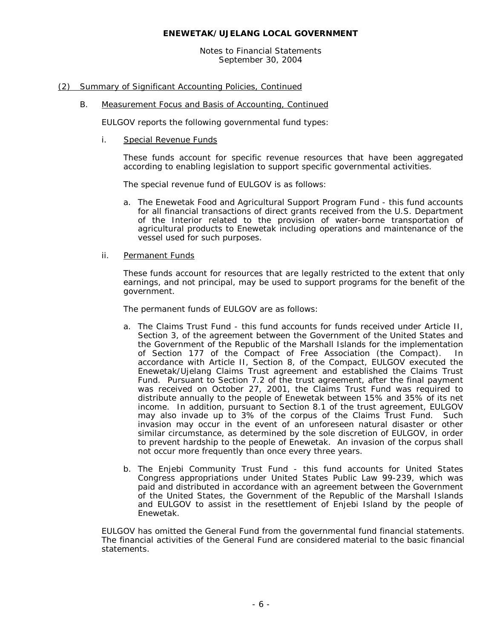Notes to Financial Statements September 30, 2004

#### (2) Summary of Significant Accounting Policies, Continued

B. Measurement Focus and Basis of Accounting, Continued

EULGOV reports the following governmental fund types:

i. Special Revenue Funds

These funds account for specific revenue resources that have been aggregated according to enabling legislation to support specific governmental activities.

The special revenue fund of EULGOV is as follows:

a. The Enewetak Food and Agricultural Support Program Fund - this fund accounts for all financial transactions of direct grants received from the U.S. Department of the Interior related to the provision of water-borne transportation of agricultural products to Enewetak including operations and maintenance of the vessel used for such purposes.

#### ii. Permanent Funds

These funds account for resources that are legally restricted to the extent that only earnings, and not principal, may be used to support programs for the benefit of the government.

The permanent funds of EULGOV are as follows:

- a. The Claims Trust Fund this fund accounts for funds received under Article II, Section 3, of the agreement between the Government of the United States and the Government of the Republic of the Marshall Islands for the implementation of Section 177 of the Compact of Free Association (the Compact). In accordance with Article II, Section 8, of the Compact, EULGOV executed the Enewetak/Ujelang Claims Trust agreement and established the Claims Trust Fund. Pursuant to Section 7.2 of the trust agreement, after the final payment was received on October 27, 2001, the Claims Trust Fund was required to distribute annually to the people of Enewetak between 15% and 35% of its net income. In addition, pursuant to Section 8.1 of the trust agreement, EULGOV may also invade up to 3% of the corpus of the Claims Trust Fund. Such invasion may occur in the event of an unforeseen natural disaster or other similar circumstance, as determined by the sole discretion of EULGOV, in order to prevent hardship to the people of Enewetak. An invasion of the corpus shall not occur more frequently than once every three years.
- b. The Enjebi Community Trust Fund this fund accounts for United States Congress appropriations under United States Public Law 99-239, which was paid and distributed in accordance with an agreement between the Government of the United States, the Government of the Republic of the Marshall Islands and EULGOV to assist in the resettlement of Enjebi Island by the people of Enewetak.

EULGOV has omitted the General Fund from the governmental fund financial statements. The financial activities of the General Fund are considered material to the basic financial statements.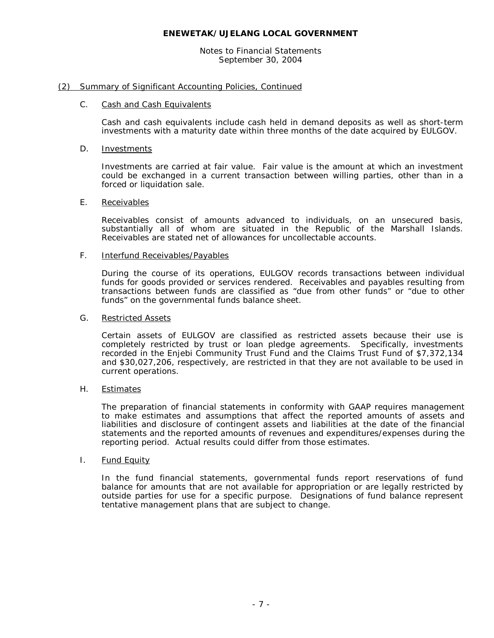Notes to Financial Statements September 30, 2004

#### (2) Summary of Significant Accounting Policies, Continued

#### C. Cash and Cash Equivalents

Cash and cash equivalents include cash held in demand deposits as well as short-term investments with a maturity date within three months of the date acquired by EULGOV.

#### D. Investments

Investments are carried at fair value. Fair value is the amount at which an investment could be exchanged in a current transaction between willing parties, other than in a forced or liquidation sale.

#### E. Receivables

Receivables consist of amounts advanced to individuals, on an unsecured basis, substantially all of whom are situated in the Republic of the Marshall Islands. Receivables are stated net of allowances for uncollectable accounts.

#### F. Interfund Receivables/Payables

During the course of its operations, EULGOV records transactions between individual funds for goods provided or services rendered. Receivables and payables resulting from transactions between funds are classified as "due from other funds" or "due to other funds" on the governmental funds balance sheet.

#### G. Restricted Assets

Certain assets of EULGOV are classified as restricted assets because their use is completely restricted by trust or loan pledge agreements. Specifically, investments recorded in the Enjebi Community Trust Fund and the Claims Trust Fund of \$7,372,134 and \$30,027,206, respectively, are restricted in that they are not available to be used in current operations.

#### H. Estimates

The preparation of financial statements in conformity with GAAP requires management to make estimates and assumptions that affect the reported amounts of assets and liabilities and disclosure of contingent assets and liabilities at the date of the financial statements and the reported amounts of revenues and expenditures/expenses during the reporting period. Actual results could differ from those estimates.

#### I. Fund Equity

In the fund financial statements, governmental funds report reservations of fund balance for amounts that are not available for appropriation or are legally restricted by outside parties for use for a specific purpose. Designations of fund balance represent tentative management plans that are subject to change.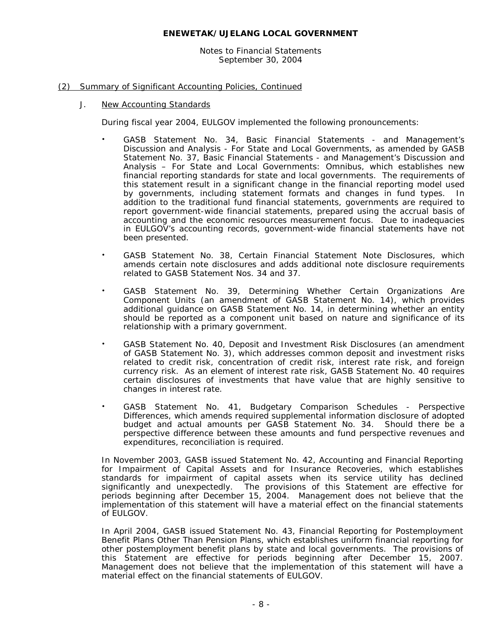Notes to Financial Statements September 30, 2004

#### (2) Summary of Significant Accounting Policies, Continued

J. New Accounting Standards

During fiscal year 2004, EULGOV implemented the following pronouncements:

- GASB Statement No. 34, *Basic Financial Statements - and Management's Discussion and Analysis - For State and Local Governments,* as amended by GASB Statement No. 37, *Basic Financial Statements - and Management's Discussion and Analysis – For State and Local Governments: Omnibus,* which establishes new financial reporting standards for state and local governments. The requirements of this statement result in a significant change in the financial reporting model used by governments, including statement formats and changes in fund types. In addition to the traditional fund financial statements, governments are required to report government-wide financial statements, prepared using the accrual basis of accounting and the economic resources measurement focus. Due to inadequacies in EULGOV's accounting records, government-wide financial statements have not been presented.
- GASB Statement No. 38, *Certain Financial Statement Note Disclosures*, which amends certain note disclosures and adds additional note disclosure requirements related to GASB Statement Nos. 34 and 37.
- GASB Statement No. 39, *Determining Whether Certain Organizations Are Component Units (an amendment of GASB Statement No. 14)*, which provides additional guidance on GASB Statement No. 14, in determining whether an entity should be reported as a component unit based on nature and significance of its relationship with a primary government.
- GASB Statement No. 40, *Deposit and Investment Risk Disclosures* (an amendment of GASB Statement No. 3), which addresses common deposit and investment risks related to credit risk, concentration of credit risk, interest rate risk, and foreign currency risk. As an element of interest rate risk, GASB Statement No. 40 requires certain disclosures of investments that have value that are highly sensitive to changes in interest rate.
- GASB Statement No. 41, *Budgetary Comparison Schedules - Perspective Differences,* which amends required supplemental information disclosure of adopted budget and actual amounts per GASB Statement No. 34. Should there be a perspective difference between these amounts and fund perspective revenues and expenditures, reconciliation is required.

In November 2003, GASB issued Statement No. 42, *Accounting and Financial Reporting for Impairment of Capital Assets and for Insurance Recoveries*, which establishes standards for impairment of capital assets when its service utility has declined significantly and unexpectedly. The provisions of this Statement are effective for periods beginning after December 15, 2004. Management does not believe that the implementation of this statement will have a material effect on the financial statements of EULGOV.

In April 2004, GASB issued Statement No. 43, *Financial Reporting for Postemployment Benefit Plans Other Than Pension Plans*, which establishes uniform financial reporting for other postemployment benefit plans by state and local governments. The provisions of this Statement are effective for periods beginning after December 15, 2007. Management does not believe that the implementation of this statement will have a material effect on the financial statements of EULGOV.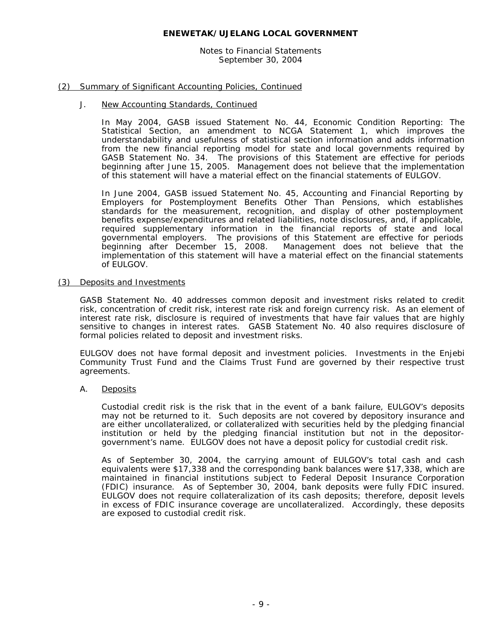Notes to Financial Statements September 30, 2004

#### (2) Summary of Significant Accounting Policies, Continued

#### J. New Accounting Standards, Continued

In May 2004, GASB issued Statement No. 44, *Economic Condition Reporting: The Statistical Section*, an amendment to NCGA Statement 1, which improves the understandability and usefulness of statistical section information and adds information from the new financial reporting model for state and local governments required by GASB Statement No. 34. The provisions of this Statement are effective for periods beginning after June 15, 2005. Management does not believe that the implementation of this statement will have a material effect on the financial statements of EULGOV.

In June 2004, GASB issued Statement No. 45, *Accounting and Financial Reporting by Employers for Postemployment Benefits Other Than Pensions*, which establishes standards for the measurement, recognition, and display of other postemployment benefits expense/expenditures and related liabilities, note disclosures, and, if applicable, required supplementary information in the financial reports of state and local governmental employers. The provisions of this Statement are effective for periods beginning after December 15, 2008. Management does not believe that the implementation of this statement will have a material effect on the financial statements of EULGOV.

#### (3) Deposits and Investments

GASB Statement No. 40 addresses common deposit and investment risks related to credit risk, concentration of credit risk, interest rate risk and foreign currency risk. As an element of interest rate risk, disclosure is required of investments that have fair values that are highly sensitive to changes in interest rates. GASB Statement No. 40 also requires disclosure of formal policies related to deposit and investment risks.

EULGOV does not have formal deposit and investment policies. Investments in the Enjebi Community Trust Fund and the Claims Trust Fund are governed by their respective trust agreements.

#### A. Deposits

Custodial credit risk is the risk that in the event of a bank failure, EULGOV's deposits may not be returned to it. Such deposits are not covered by depository insurance and are either uncollateralized, or collateralized with securities held by the pledging financial institution or held by the pledging financial institution but not in the depositorgovernment's name. EULGOV does not have a deposit policy for custodial credit risk.

As of September 30, 2004, the carrying amount of EULGOV's total cash and cash equivalents were \$17,338 and the corresponding bank balances were \$17,338, which are maintained in financial institutions subject to Federal Deposit Insurance Corporation (FDIC) insurance. As of September 30, 2004, bank deposits were fully FDIC insured. EULGOV does not require collateralization of its cash deposits; therefore, deposit levels in excess of FDIC insurance coverage are uncollateralized. Accordingly, these deposits are exposed to custodial credit risk.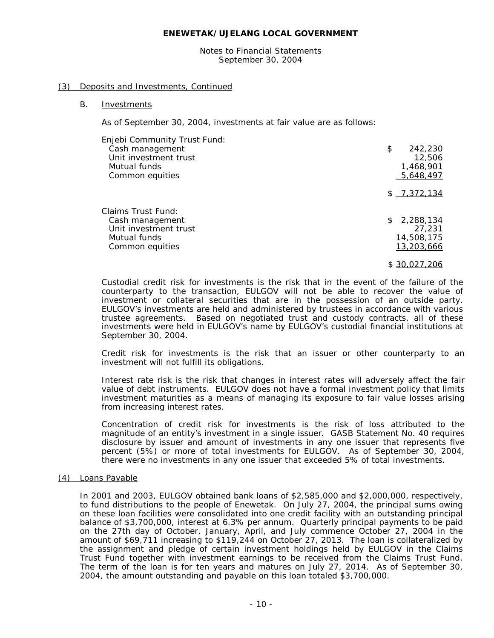#### Notes to Financial Statements September 30, 2004

#### (3) Deposits and Investments, Continued

#### B. Investments

As of September 30, 2004, investments at fair value are as follows:

| Enjebi Community Trust Fund: |                |
|------------------------------|----------------|
| Cash management              | \$<br>242,230  |
| Unit investment trust        | 12,506         |
| Mutual funds                 | 1,468,901      |
| Common equities              | 5,648,497      |
|                              | $$ -7,372,134$ |
| Claims Trust Fund:           |                |
| Cash management              | \$2,288,134    |
| Unit investment trust        | 27.231         |
| Mutual funds                 | 14,508,175     |
| Common equities              | 13,203,666     |
|                              | \$30,027,206   |

Custodial credit risk for investments is the risk that in the event of the failure of the counterparty to the transaction, EULGOV will not be able to recover the value of investment or collateral securities that are in the possession of an outside party. EULGOV's investments are held and administered by trustees in accordance with various trustee agreements. Based on negotiated trust and custody contracts, all of these investments were held in EULGOV's name by EULGOV's custodial financial institutions at September 30, 2004.

Credit risk for investments is the risk that an issuer or other counterparty to an investment will not fulfill its obligations.

Interest rate risk is the risk that changes in interest rates will adversely affect the fair value of debt instruments. EULGOV does not have a formal investment policy that limits investment maturities as a means of managing its exposure to fair value losses arising from increasing interest rates.

Concentration of credit risk for investments is the risk of loss attributed to the magnitude of an entity's investment in a single issuer. GASB Statement No. 40 requires disclosure by issuer and amount of investments in any one issuer that represents five percent (5%) or more of total investments for EULGOV. As of September 30, 2004, there were no investments in any one issuer that exceeded 5% of total investments.

#### (4) Loans Payable

In 2001 and 2003, EULGOV obtained bank loans of \$2,585,000 and \$2,000,000, respectively, to fund distributions to the people of Enewetak. On July 27, 2004, the principal sums owing on these loan facilities were consolidated into one credit facility with an outstanding principal balance of \$3,700,000, interest at 6.3% per annum. Quarterly principal payments to be paid on the 27th day of October, January, April, and July commence October 27, 2004 in the amount of \$69,711 increasing to \$119,244 on October 27, 2013. The loan is collateralized by the assignment and pledge of certain investment holdings held by EULGOV in the Claims Trust Fund together with investment earnings to be received from the Claims Trust Fund. The term of the loan is for ten years and matures on July 27, 2014. As of September 30, 2004, the amount outstanding and payable on this loan totaled \$3,700,000.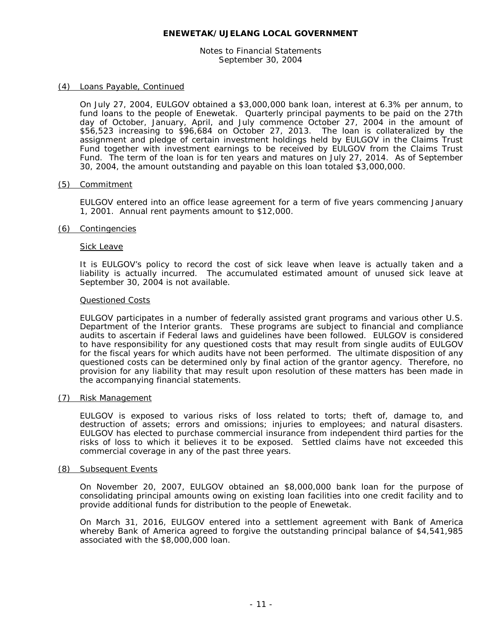Notes to Financial Statements September 30, 2004

#### (4) Loans Payable, Continued

On July 27, 2004, EULGOV obtained a \$3,000,000 bank loan, interest at 6.3% per annum, to fund loans to the people of Enewetak. Quarterly principal payments to be paid on the 27th day of October, January, April, and July commence October 27, 2004 in the amount of \$56,523 increasing to \$96,684 on October 27, 2013. The loan is collateralized by the assignment and pledge of certain investment holdings held by EULGOV in the Claims Trust Fund together with investment earnings to be received by EULGOV from the Claims Trust Fund. The term of the loan is for ten years and matures on July 27, 2014. As of September 30, 2004, the amount outstanding and payable on this loan totaled \$3,000,000.

#### (5) Commitment

EULGOV entered into an office lease agreement for a term of five years commencing January 1, 2001. Annual rent payments amount to \$12,000.

#### (6) Contingencies

#### Sick Leave

It is EULGOV's policy to record the cost of sick leave when leave is actually taken and a liability is actually incurred. The accumulated estimated amount of unused sick leave at September 30, 2004 is not available.

#### Questioned Costs

EULGOV participates in a number of federally assisted grant programs and various other U.S. Department of the Interior grants. These programs are subject to financial and compliance audits to ascertain if Federal laws and guidelines have been followed. EULGOV is considered to have responsibility for any questioned costs that may result from single audits of EULGOV for the fiscal years for which audits have not been performed. The ultimate disposition of any questioned costs can be determined only by final action of the grantor agency. Therefore, no provision for any liability that may result upon resolution of these matters has been made in the accompanying financial statements.

#### (7) Risk Management

EULGOV is exposed to various risks of loss related to torts; theft of, damage to, and destruction of assets; errors and omissions; injuries to employees; and natural disasters. EULGOV has elected to purchase commercial insurance from independent third parties for the risks of loss to which it believes it to be exposed. Settled claims have not exceeded this commercial coverage in any of the past three years.

#### (8) Subsequent Events

On November 20, 2007, EULGOV obtained an \$8,000,000 bank loan for the purpose of consolidating principal amounts owing on existing loan facilities into one credit facility and to provide additional funds for distribution to the people of Enewetak.

On March 31, 2016, EULGOV entered into a settlement agreement with Bank of America whereby Bank of America agreed to forgive the outstanding principal balance of \$4,541,985 associated with the \$8,000,000 loan.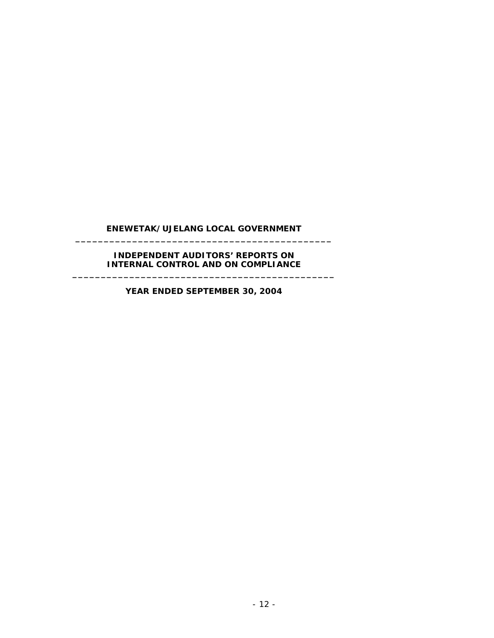#### **ENEWETAK/UJELANG LOCAL GOVERNMENT \_\_\_\_\_\_\_\_\_\_\_\_\_\_\_\_\_\_\_\_\_\_\_\_\_\_\_\_\_\_\_\_\_\_\_\_\_\_\_\_\_\_\_\_\_**

#### **INDEPENDENT AUDITORS' REPORTS ON INTERNAL CONTROL AND ON COMPLIANCE \_\_\_\_\_\_\_\_\_\_\_\_\_\_\_\_\_\_\_\_\_\_\_\_\_\_\_\_\_\_\_\_\_\_\_\_\_\_\_\_\_\_\_\_\_\_**

**YEAR ENDED SEPTEMBER 30, 2004**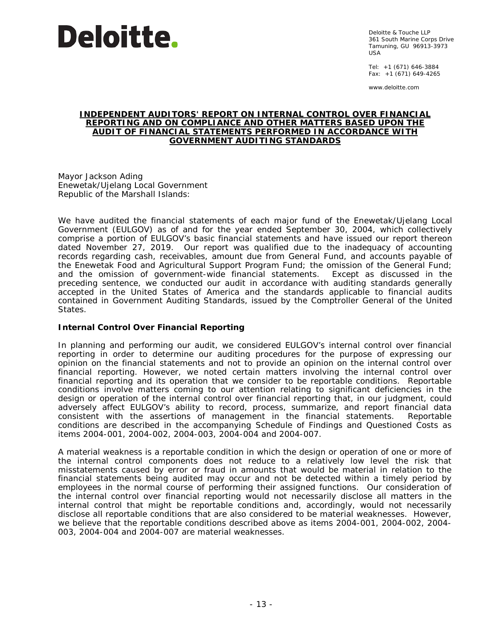

Deloitte & Touche LLP 361 South Marine Corps Drive Tamuning, GU 96913-3973 USA

Tel: +1 (671) 646-3884 Fax: +1 (671) 649-4265

www.deloitte.com

#### **INDEPENDENT AUDITORS' REPORT ON INTERNAL CONTROL OVER FINANCIAL REPORTING AND ON COMPLIANCE AND OTHER MATTERS BASED UPON THE AUDIT OF FINANCIAL STATEMENTS PERFORMED IN ACCORDANCE WITH** *GOVERNMENT AUDITING STANDARDS*

Mayor Jackson Ading Enewetak/Ujelang Local Government Republic of the Marshall Islands:

We have audited the financial statements of each major fund of the Enewetak/Ujelang Local Government (EULGOV) as of and for the year ended September 30, 2004, which collectively comprise a portion of EULGOV's basic financial statements and have issued our report thereon dated November 27, 2019. Our report was qualified due to the inadequacy of accounting records regarding cash, receivables, amount due from General Fund, and accounts payable of the Enewetak Food and Agricultural Support Program Fund; the omission of the General Fund; and the omission of government-wide financial statements. Except as discussed in the preceding sentence, we conducted our audit in accordance with auditing standards generally accepted in the United States of America and the standards applicable to financial audits contained in *Government Auditing Standards*, issued by the Comptroller General of the United States.

# **Internal Control Over Financial Reporting**

In planning and performing our audit, we considered EULGOV's internal control over financial reporting in order to determine our auditing procedures for the purpose of expressing our opinion on the financial statements and not to provide an opinion on the internal control over financial reporting. However, we noted certain matters involving the internal control over financial reporting and its operation that we consider to be reportable conditions. Reportable conditions involve matters coming to our attention relating to significant deficiencies in the design or operation of the internal control over financial reporting that, in our judgment, could adversely affect EULGOV's ability to record, process, summarize, and report financial data consistent with the assertions of management in the financial statements. Reportable conditions are described in the accompanying Schedule of Findings and Questioned Costs as items 2004-001, 2004-002, 2004-003, 2004-004 and 2004-007.

A material weakness is a reportable condition in which the design or operation of one or more of the internal control components does not reduce to a relatively low level the risk that misstatements caused by error or fraud in amounts that would be material in relation to the financial statements being audited may occur and not be detected within a timely period by employees in the normal course of performing their assigned functions. Our consideration of the internal control over financial reporting would not necessarily disclose all matters in the internal control that might be reportable conditions and, accordingly, would not necessarily disclose all reportable conditions that are also considered to be material weaknesses. However, we believe that the reportable conditions described above as items 2004-001, 2004-002, 2004- 003, 2004-004 and 2004-007 are material weaknesses.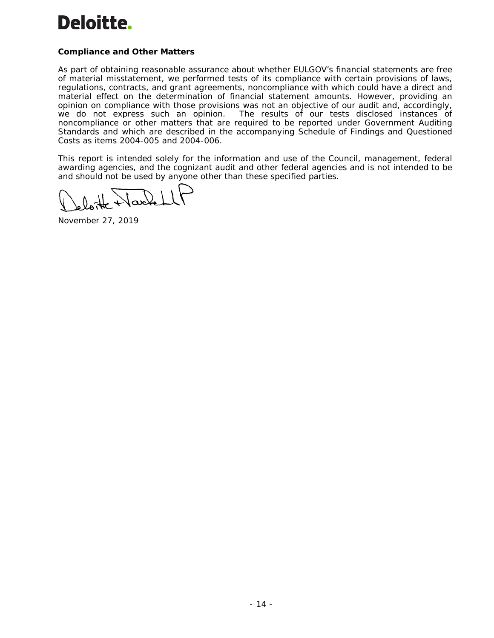

# **Compliance and Other Matters**

As part of obtaining reasonable assurance about whether EULGOV's financial statements are free of material misstatement, we performed tests of its compliance with certain provisions of laws, regulations, contracts, and grant agreements, noncompliance with which could have a direct and material effect on the determination of financial statement amounts. However, providing an opinion on compliance with those provisions was not an objective of our audit and, accordingly, we do not express such an opinion. The results of our tests disclosed instances of noncompliance or other matters that are required to be reported under *Government Auditing Standards* and which are described in the accompanying Schedule of Findings and Questioned Costs as items 2004-005 and 2004-006.

This report is intended solely for the information and use of the Council, management, federal awarding agencies, and the cognizant audit and other federal agencies and is not intended to be and should not be used by anyone other than these specified parties.

November 27, 2019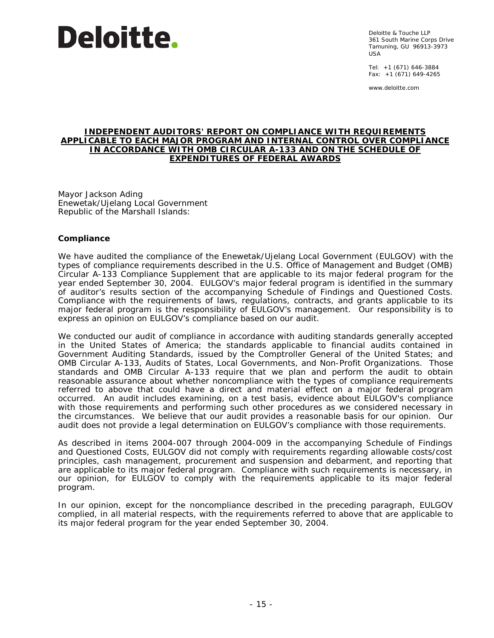# **Deloitte**.

Deloitte & Touche LLP 361 South Marine Corps Drive Tamuning, GU 96913-3973 USA

Tel: +1 (671) 646-3884 Fax: +1 (671) 649-4265

www.deloitte.com

#### **INDEPENDENT AUDITORS' REPORT ON COMPLIANCE WITH REQUIREMENTS APPLICABLE TO EACH MAJOR PROGRAM AND INTERNAL CONTROL OVER COMPLIANCE IN ACCORDANCE WITH OMB CIRCULAR A-133 AND ON THE SCHEDULE OF EXPENDITURES OF FEDERAL AWARDS**

Mayor Jackson Ading Enewetak/Ujelang Local Government Republic of the Marshall Islands:

#### **Compliance**

We have audited the compliance of the Enewetak/Ujelang Local Government (EULGOV) with the types of compliance requirements described in the *U.S. Office of Management and Budget (OMB) Circular A-133 Compliance Supplement* that are applicable to its major federal program for the year ended September 30, 2004. EULGOV's major federal program is identified in the summary of auditor's results section of the accompanying Schedule of Findings and Questioned Costs. Compliance with the requirements of laws, regulations, contracts, and grants applicable to its major federal program is the responsibility of EULGOV's management. Our responsibility is to express an opinion on EULGOV's compliance based on our audit.

We conducted our audit of compliance in accordance with auditing standards generally accepted in the United States of America; the standards applicable to financial audits contained in *Government Auditing Standards*, issued by the Comptroller General of the United States; and OMB Circular A-133, *Audits of States, Local Governments, and Non-Profit Organizations*. Those standards and OMB Circular A-133 require that we plan and perform the audit to obtain reasonable assurance about whether noncompliance with the types of compliance requirements referred to above that could have a direct and material effect on a major federal program occurred. An audit includes examining, on a test basis, evidence about EULGOV's compliance with those requirements and performing such other procedures as we considered necessary in the circumstances. We believe that our audit provides a reasonable basis for our opinion. Our audit does not provide a legal determination on EULGOV's compliance with those requirements.

As described in items 2004-007 through 2004-009 in the accompanying Schedule of Findings and Questioned Costs, EULGOV did not comply with requirements regarding allowable costs/cost principles, cash management, procurement and suspension and debarment, and reporting that are applicable to its major federal program. Compliance with such requirements is necessary, in our opinion, for EULGOV to comply with the requirements applicable to its major federal program.

In our opinion, except for the noncompliance described in the preceding paragraph, EULGOV complied, in all material respects, with the requirements referred to above that are applicable to its major federal program for the year ended September 30, 2004.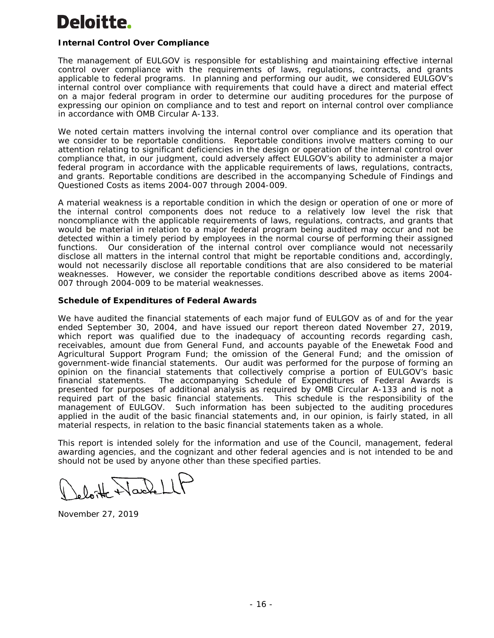# Deloitte.

# **Internal Control Over Compliance**

The management of EULGOV is responsible for establishing and maintaining effective internal control over compliance with the requirements of laws, regulations, contracts, and grants applicable to federal programs. In planning and performing our audit, we considered EULGOV's internal control over compliance with requirements that could have a direct and material effect on a major federal program in order to determine our auditing procedures for the purpose of expressing our opinion on compliance and to test and report on internal control over compliance in accordance with OMB Circular A-133.

We noted certain matters involving the internal control over compliance and its operation that we consider to be reportable conditions. Reportable conditions involve matters coming to our attention relating to significant deficiencies in the design or operation of the internal control over compliance that, in our judgment, could adversely affect EULGOV's ability to administer a major federal program in accordance with the applicable requirements of laws, regulations, contracts, and grants. Reportable conditions are described in the accompanying Schedule of Findings and Questioned Costs as items 2004-007 through 2004-009.

A material weakness is a reportable condition in which the design or operation of one or more of the internal control components does not reduce to a relatively low level the risk that noncompliance with the applicable requirements of laws, regulations, contracts, and grants that would be material in relation to a major federal program being audited may occur and not be detected within a timely period by employees in the normal course of performing their assigned functions. Our consideration of the internal control over compliance would not necessarily disclose all matters in the internal control that might be reportable conditions and, accordingly, would not necessarily disclose all reportable conditions that are also considered to be material weaknesses. However, we consider the reportable conditions described above as items 2004- 007 through 2004-009 to be material weaknesses.

# **Schedule of Expenditures of Federal Awards**

We have audited the financial statements of each major fund of EULGOV as of and for the year ended September 30, 2004, and have issued our report thereon dated November 27, 2019, which report was qualified due to the inadequacy of accounting records regarding cash, receivables, amount due from General Fund, and accounts payable of the Enewetak Food and Agricultural Support Program Fund; the omission of the General Fund; and the omission of government-wide financial statements. Our audit was performed for the purpose of forming an opinion on the financial statements that collectively comprise a portion of EULGOV's basic financial statements. The accompanying Schedule of Expenditures of Federal Awards is presented for purposes of additional analysis as required by OMB Circular A-133 and is not a required part of the basic financial statements. This schedule is the responsibility of the management of EULGOV. Such information has been subjected to the auditing procedures applied in the audit of the basic financial statements and, in our opinion, is fairly stated, in all material respects, in relation to the basic financial statements taken as a whole.

This report is intended solely for the information and use of the Council, management, federal awarding agencies, and the cognizant and other federal agencies and is not intended to be and should not be used by anyone other than these specified parties.

November 27, 2019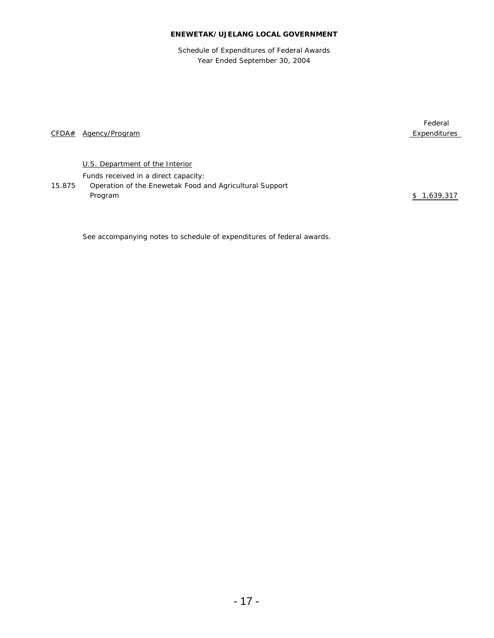Schedule of Expenditures of Federal Awards Year Ended September 30, 2004

CFDA# Agency/Program Federal **Expenditures** U.S. Department of the Interior Funds received in a direct capacity: 15.875 Operation of the Enewetak Food and Agricultural Support Program  $\frac{$1,639,317}{}$ 

See accompanying notes to schedule of expenditures of federal awards.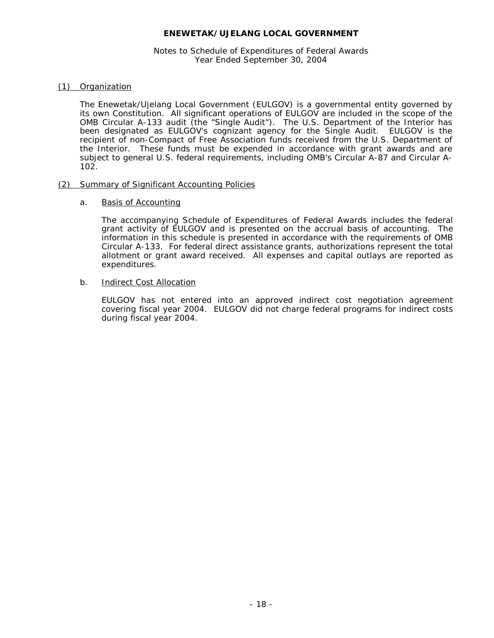#### Notes to Schedule of Expenditures of Federal Awards Year Ended September 30, 2004

#### (1) Organization

The Enewetak/Ujelang Local Government (EULGOV) is a governmental entity governed by its own Constitution. All significant operations of EULGOV are included in the scope of the OMB Circular A-133 audit (the "Single Audit"). The U.S. Department of the Interior has been designated as EULGOV's cognizant agency for the Single Audit. EULGOV is the recipient of non-Compact of Free Association funds received from the U.S. Department of the Interior. These funds must be expended in accordance with grant awards and are subject to general U.S. federal requirements, including OMB's Circular A-87 and Circular A-102.

#### (2) Summary of Significant Accounting Policies

#### a. Basis of Accounting

The accompanying Schedule of Expenditures of Federal Awards includes the federal grant activity of EULGOV and is presented on the accrual basis of accounting. The information in this schedule is presented in accordance with the requirements of OMB Circular A-133. For federal direct assistance grants, authorizations represent the total allotment or grant award received. All expenses and capital outlays are reported as expenditures.

#### b. Indirect Cost Allocation

EULGOV has not entered into an approved indirect cost negotiation agreement covering fiscal year 2004. EULGOV did not charge federal programs for indirect costs during fiscal year 2004.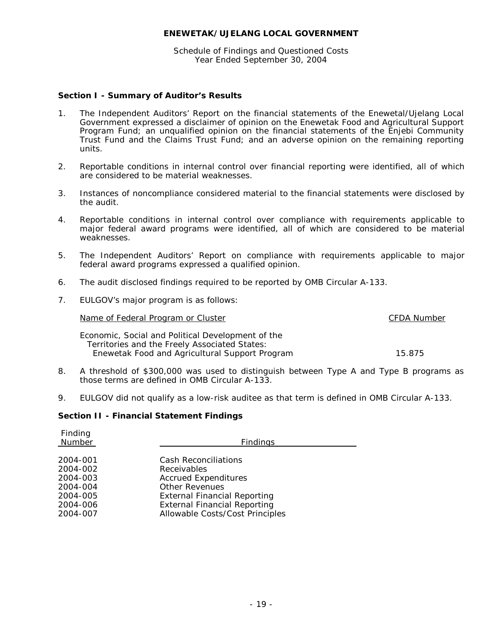Schedule of Findings and Questioned Costs Year Ended September 30, 2004

#### **Section I - Summary of Auditor's Results**

- 1. The Independent Auditors' Report on the financial statements of the Enewetal/Ujelang Local Government expressed a disclaimer of opinion on the Enewetak Food and Agricultural Support Program Fund; an unqualified opinion on the financial statements of the Enjebi Community Trust Fund and the Claims Trust Fund; and an adverse opinion on the remaining reporting units.
- 2. Reportable conditions in internal control over financial reporting were identified, all of which are considered to be material weaknesses.
- 3. Instances of noncompliance considered material to the financial statements were disclosed by the audit.
- 4. Reportable conditions in internal control over compliance with requirements applicable to major federal award programs were identified, all of which are considered to be material weaknesses.
- 5. The Independent Auditors' Report on compliance with requirements applicable to major federal award programs expressed a qualified opinion.
- 6. The audit disclosed findings required to be reported by OMB Circular A-133.
- 7. EULGOV's major program is as follows:

Name of Federal Program or Cluster CFDA Number CFDA Number

Economic, Social and Political Development of the Territories and the Freely Associated States: Enewetak Food and Agricultural Support Program 15.875

- 8. A threshold of \$300,000 was used to distinguish between Type A and Type B programs as those terms are defined in OMB Circular A-133.
- 9. EULGOV did not qualify as a low-risk auditee as that term is defined in OMB Circular A-133.

# **Section II - Financial Statement Findings**

| Finding<br>Number                                                                | Findings                                                                                                                                                                                                            |
|----------------------------------------------------------------------------------|---------------------------------------------------------------------------------------------------------------------------------------------------------------------------------------------------------------------|
| 2004-001<br>2004-002<br>2004-003<br>2004-004<br>2004-005<br>2004-006<br>2004-007 | <b>Cash Reconciliations</b><br>Receivables<br><b>Accrued Expenditures</b><br><b>Other Revenues</b><br><b>External Financial Reporting</b><br><b>External Financial Reporting</b><br>Allowable Costs/Cost Principles |
|                                                                                  |                                                                                                                                                                                                                     |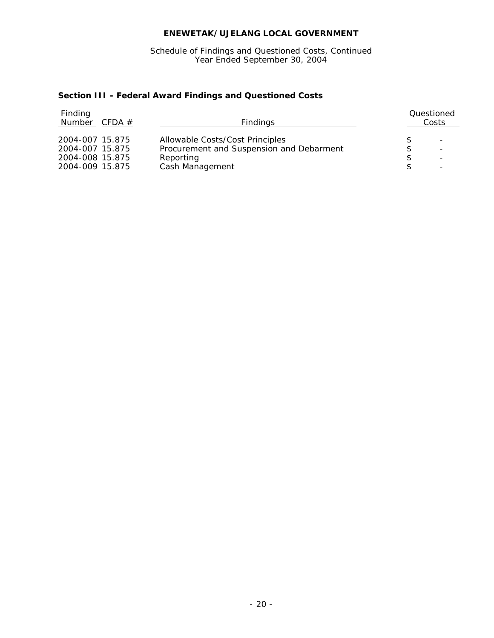Schedule of Findings and Questioned Costs, Continued Year Ended September 30, 2004

# **Section III - Federal Award Findings and Questioned Costs**

| Finding<br>Number | $\mathsf{CFDA} \; \#$ | <b>Findings</b>                          | Questioned<br>Costs |                          |
|-------------------|-----------------------|------------------------------------------|---------------------|--------------------------|
| 2004-007 15.875   |                       | Allowable Costs/Cost Principles          |                     | $\overline{\phantom{a}}$ |
| 2004-007 15.875   |                       | Procurement and Suspension and Debarment |                     | -                        |
| 2004-008 15.875   |                       | Reporting                                |                     |                          |
| 2004-009 15.875   |                       | Cash Management                          |                     |                          |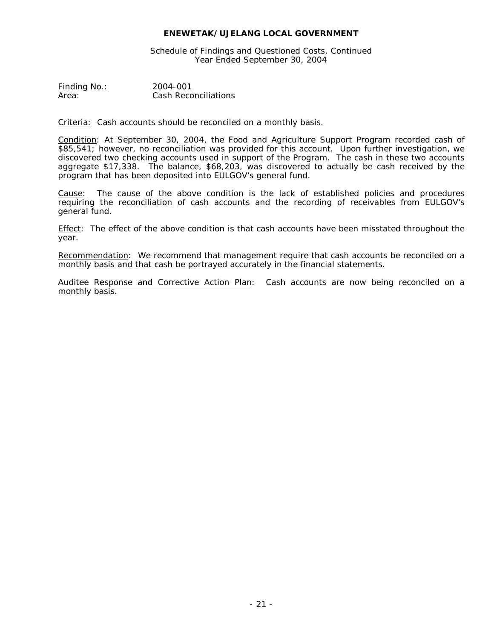Schedule of Findings and Questioned Costs, Continued Year Ended September 30, 2004

Finding No.: 2004-001 Area: Cash Reconciliations

Criteria: Cash accounts should be reconciled on a monthly basis.

Condition: At September 30, 2004, the Food and Agriculture Support Program recorded cash of \$85,541; however, no reconciliation was provided for this account. Upon further investigation, we discovered two checking accounts used in support of the Program. The cash in these two accounts aggregate \$17,338. The balance, \$68,203, was discovered to actually be cash received by the program that has been deposited into EULGOV's general fund.

Cause: The cause of the above condition is the lack of established policies and procedures requiring the reconciliation of cash accounts and the recording of receivables from EULGOV's general fund.

**Effect:** The effect of the above condition is that cash accounts have been misstated throughout the year.

Recommendation: We recommend that management require that cash accounts be reconciled on a monthly basis and that cash be portrayed accurately in the financial statements.

Auditee Response and Corrective Action Plan: Cash accounts are now being reconciled on a monthly basis.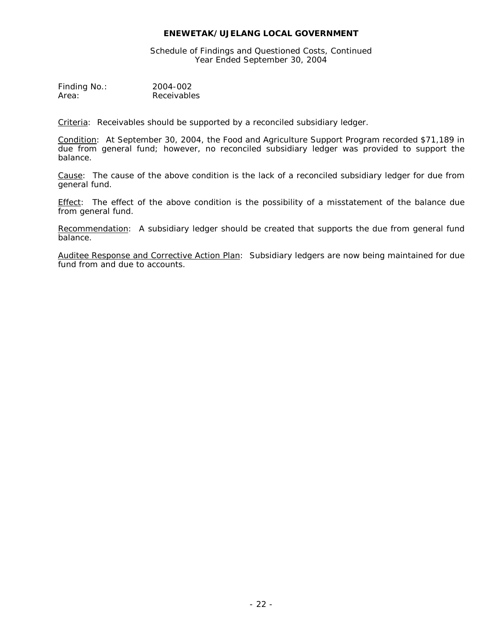Schedule of Findings and Questioned Costs, Continued Year Ended September 30, 2004

| Finding No.: | 2004-002    |
|--------------|-------------|
| Area:        | Receivables |

Criteria: Receivables should be supported by a reconciled subsidiary ledger.

Condition: At September 30, 2004, the Food and Agriculture Support Program recorded \$71,189 in due from general fund; however, no reconciled subsidiary ledger was provided to support the balance.

Cause: The cause of the above condition is the lack of a reconciled subsidiary ledger for due from general fund.

Effect: The effect of the above condition is the possibility of a misstatement of the balance due from general fund.

Recommendation: A subsidiary ledger should be created that supports the due from general fund balance.

Auditee Response and Corrective Action Plan: Subsidiary ledgers are now being maintained for due fund from and due to accounts.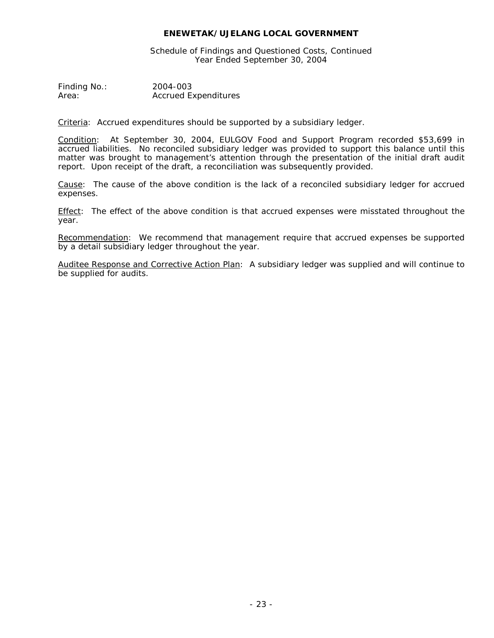Schedule of Findings and Questioned Costs, Continued Year Ended September 30, 2004

Finding No.: 2004-003<br>Area: 2004-003 Accrued Expenditures

Criteria: Accrued expenditures should be supported by a subsidiary ledger.

Condition: At September 30, 2004, EULGOV Food and Support Program recorded \$53,699 in accrued liabilities. No reconciled subsidiary ledger was provided to support this balance until this matter was brought to management's attention through the presentation of the initial draft audit report. Upon receipt of the draft, a reconciliation was subsequently provided.

Cause: The cause of the above condition is the lack of a reconciled subsidiary ledger for accrued expenses.

Effect: The effect of the above condition is that accrued expenses were misstated throughout the year.

Recommendation: We recommend that management require that accrued expenses be supported by a detail subsidiary ledger throughout the year.

Auditee Response and Corrective Action Plan: A subsidiary ledger was supplied and will continue to be supplied for audits.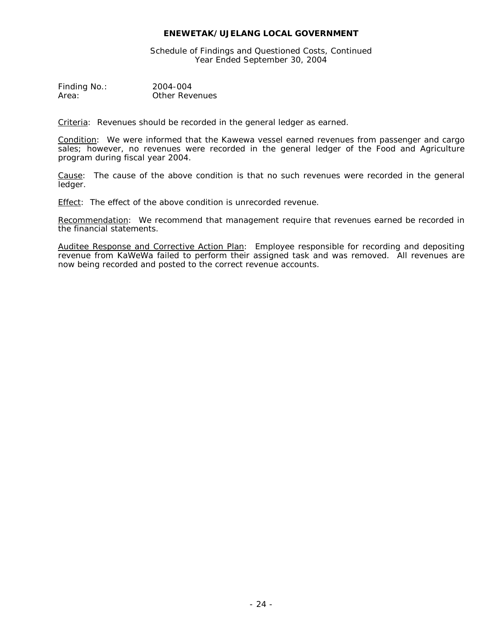Schedule of Findings and Questioned Costs, Continued Year Ended September 30, 2004

Finding No.: 2004-004<br>Area: Cher Rev **Other Revenues** 

Criteria: Revenues should be recorded in the general ledger as earned.

Condition: We were informed that the Kawewa vessel earned revenues from passenger and cargo sales; however, no revenues were recorded in the general ledger of the Food and Agriculture program during fiscal year 2004.

Cause: The cause of the above condition is that no such revenues were recorded in the general ledger.

**Effect:** The effect of the above condition is unrecorded revenue.

Recommendation: We recommend that management require that revenues earned be recorded in the financial statements.

Auditee Response and Corrective Action Plan: Employee responsible for recording and depositing revenue from KaWeWa failed to perform their assigned task and was removed. All revenues are now being recorded and posted to the correct revenue accounts.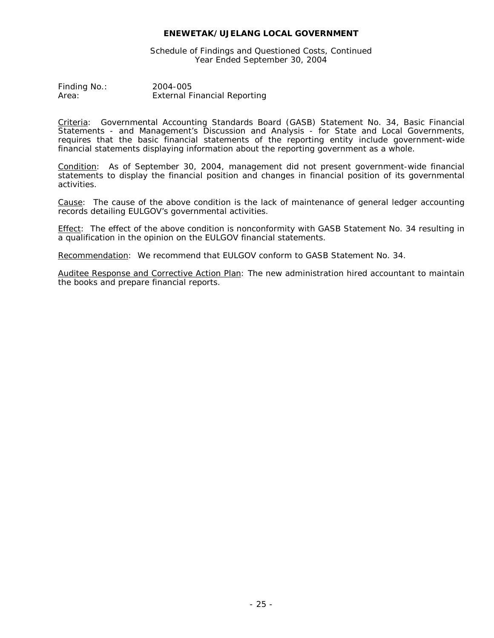Schedule of Findings and Questioned Costs, Continued Year Ended September 30, 2004

Finding No.: 2004-005 Area: External Financial Reporting

Criteria: Governmental Accounting Standards Board (GASB) Statement No. 34, *Basic Financial Statements - and Management's Discussion and Analysis - for State and Local Governments*, requires that the basic financial statements of the reporting entity include government-wide financial statements displaying information about the reporting government as a whole.

Condition: As of September 30, 2004, management did not present government-wide financial statements to display the financial position and changes in financial position of its governmental activities.

Cause: The cause of the above condition is the lack of maintenance of general ledger accounting records detailing EULGOV's governmental activities.

Effect: The effect of the above condition is nonconformity with GASB Statement No. 34 resulting in a qualification in the opinion on the EULGOV financial statements.

Recommendation: We recommend that EULGOV conform to GASB Statement No. 34.

Auditee Response and Corrective Action Plan: The new administration hired accountant to maintain the books and prepare financial reports.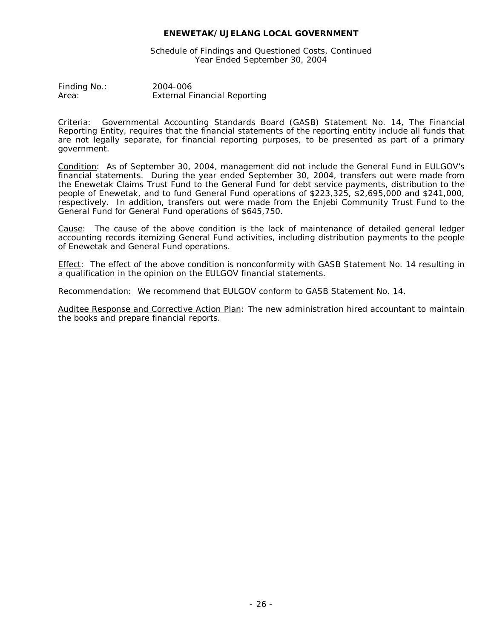Schedule of Findings and Questioned Costs, Continued Year Ended September 30, 2004

Finding No.: 2004-006 Area: External Financial Reporting

Criteria: Governmental Accounting Standards Board (GASB) Statement No. 14, *The Financial Reporting Entity*, requires that the financial statements of the reporting entity include all funds that are not legally separate, for financial reporting purposes, to be presented as part of a primary government.

Condition: As of September 30, 2004, management did not include the General Fund in EULGOV's financial statements. During the year ended September 30, 2004, transfers out were made from the Enewetak Claims Trust Fund to the General Fund for debt service payments, distribution to the people of Enewetak, and to fund General Fund operations of \$223,325, \$2,695,000 and \$241,000, respectively. In addition, transfers out were made from the Enjebi Community Trust Fund to the General Fund for General Fund operations of \$645,750.

Cause: The cause of the above condition is the lack of maintenance of detailed general ledger accounting records itemizing General Fund activities, including distribution payments to the people of Enewetak and General Fund operations.

Effect: The effect of the above condition is nonconformity with GASB Statement No. 14 resulting in a qualification in the opinion on the EULGOV financial statements.

Recommendation: We recommend that EULGOV conform to GASB Statement No. 14.

Auditee Response and Corrective Action Plan: The new administration hired accountant to maintain the books and prepare financial reports.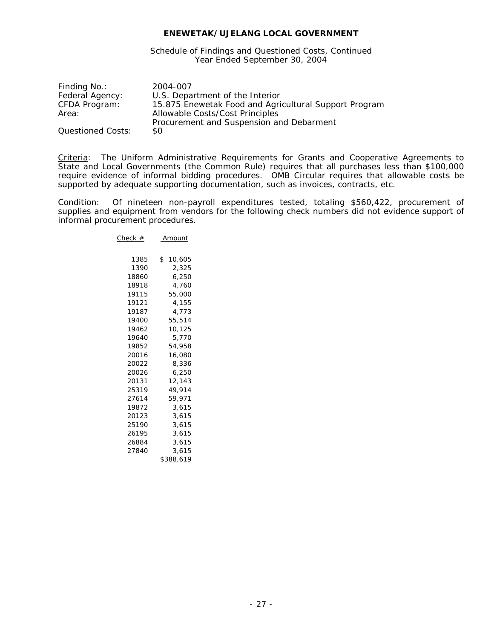Schedule of Findings and Questioned Costs, Continued Year Ended September 30, 2004

Finding No.: 2004-007 Federal Agency: U.S. Department of the Interior CFDA Program: 15.875 Enewetak Food and Agricultural Support Program Area: Allowable Costs/Cost Principles Procurement and Suspension and Debarment Questioned Costs: \$0

Criteria: The *Uniform Administrative Requirements for Grants and Cooperative Agreements to State and Local Governments* (the Common Rule) requires that all purchases less than \$100,000 require evidence of informal bidding procedures. OMB Circular requires that allowable costs be supported by adequate supporting documentation, such as invoices, contracts, etc.

Condition: Of nineteen non-payroll expenditures tested, totaling \$560,422, procurement of supplies and equipment from vendors for the following check numbers did not evidence support of informal procurement procedures.

> Check # Amount 1385 \$ 10,605 1390 2,325 18860 6,250 18918 4,760 19115 55,000 19121 4,155 19187 4,773<br>19400 55.514 55,514 19462 10,125 19640 5,770 19852 54,958 20016 16,080 20022 8,336 20026 6,250 20131 12,143 25319 49,914 27614 59,971<br>19872 3.615 3,615 20123 3,615 25190 3,615 26195 3,615 26884 3,615 27840 3,615 \$388,619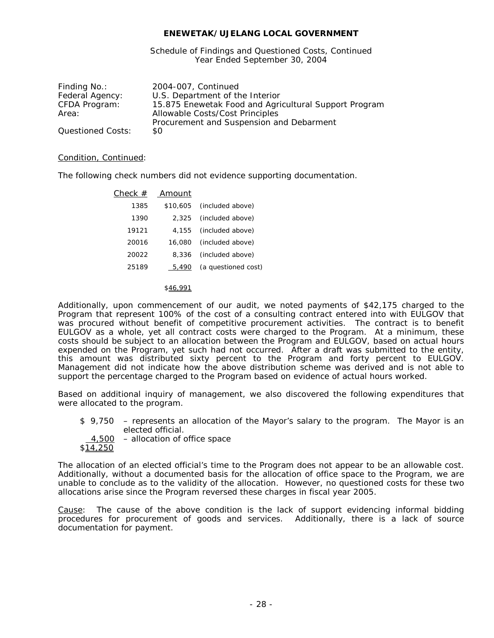Schedule of Findings and Questioned Costs, Continued Year Ended September 30, 2004

| Finding No.:      | 2004-007, Continued                                   |
|-------------------|-------------------------------------------------------|
| Federal Agency:   | U.S. Department of the Interior                       |
| CFDA Program:     | 15.875 Enewetak Food and Agricultural Support Program |
| Area:             | Allowable Costs/Cost Principles                       |
|                   | Procurement and Suspension and Debarment              |
| Questioned Costs: | \$0                                                   |

#### Condition, Continued:

The following check numbers did not evidence supporting documentation.

| Check # | Amount   |                     |
|---------|----------|---------------------|
| 1385    | \$10,605 | (included above)    |
| 1390    | 2.325    | (included above)    |
| 19121   | 4.155    | (included above)    |
| 20016   | 16,080   | (included above)    |
| 20022   | 8.336    | (included above)    |
| 25189   | 5.490    | (a questioned cost) |

#### \$46,991

Additionally, upon commencement of our audit, we noted payments of \$42,175 charged to the Program that represent 100% of the cost of a consulting contract entered into with EULGOV that was procured without benefit of competitive procurement activities. The contract is to benefit EULGOV as a whole, yet all contract costs were charged to the Program. At a minimum, these costs should be subject to an allocation between the Program and EULGOV, based on actual hours expended on the Program, yet such had not occurred. After a draft was submitted to the entity, this amount was distributed sixty percent to the Program and forty percent to EULGOV. Management did not indicate how the above distribution scheme was derived and is not able to support the percentage charged to the Program based on evidence of actual hours worked.

Based on additional inquiry of management, we also discovered the following expenditures that were allocated to the program.

- \$ 9,750 represents an allocation of the Mayor's salary to the program. The Mayor is an elected official.
- 4,500 allocation of office space \$14,250

The allocation of an elected official's time to the Program does not appear to be an allowable cost. Additionally, without a documented basis for the allocation of office space to the Program, we are unable to conclude as to the validity of the allocation. However, no questioned costs for these two allocations arise since the Program reversed these charges in fiscal year 2005.

Cause: The cause of the above condition is the lack of support evidencing informal bidding procedures for procurement of goods and services. Additionally, there is a lack of source documentation for payment.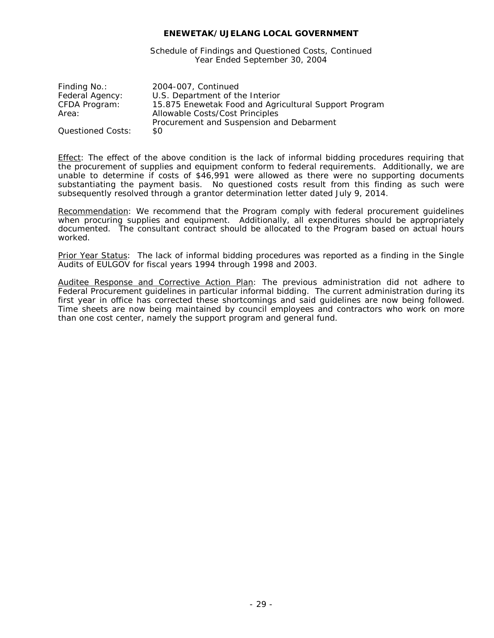Schedule of Findings and Questioned Costs, Continued Year Ended September 30, 2004

Finding No.: 2004-007, Continued Federal Agency: U.S. Department of the Interior CFDA Program: 15.875 Enewetak Food and Agricultural Support Program Area: Allowable Costs/Cost Principles Procurement and Suspension and Debarment Questioned Costs: \$0

Effect: The effect of the above condition is the lack of informal bidding procedures requiring that the procurement of supplies and equipment conform to federal requirements. Additionally, we are unable to determine if costs of \$46,991 were allowed as there were no supporting documents substantiating the payment basis. No questioned costs result from this finding as such were subsequently resolved through a grantor determination letter dated July 9, 2014.

Recommendation: We recommend that the Program comply with federal procurement guidelines when procuring supplies and equipment. Additionally, all expenditures should be appropriately documented. The consultant contract should be allocated to the Program based on actual hours worked.

Prior Year Status: The lack of informal bidding procedures was reported as a finding in the Single Audits of EULGOV for fiscal years 1994 through 1998 and 2003.

Auditee Response and Corrective Action Plan: The previous administration did not adhere to Federal Procurement guidelines in particular informal bidding. The current administration during its first year in office has corrected these shortcomings and said guidelines are now being followed. Time sheets are now being maintained by council employees and contractors who work on more than one cost center, namely the support program and general fund.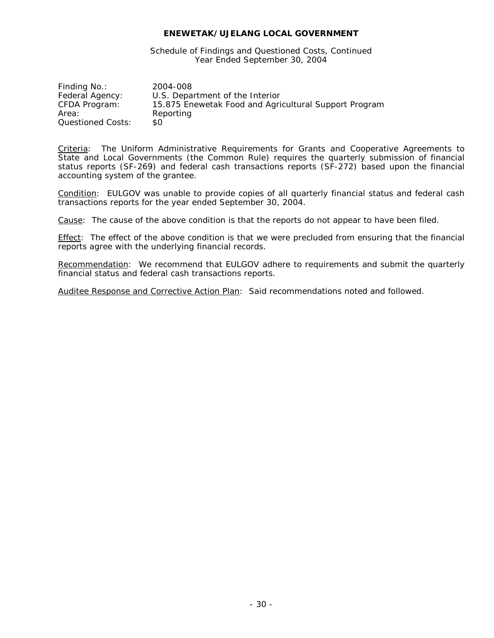Schedule of Findings and Questioned Costs, Continued Year Ended September 30, 2004

Finding No.: 2004-008<br>Federal Agency: U.S. Depa U.S. Department of the Interior CFDA Program: 15.875 Enewetak Food and Agricultural Support Program Area: Reporting Questioned Costs: \$0

Criteria: The *Uniform Administrative Requirements for Grants and Cooperative Agreements to State and Local Governments* (the Common Rule) requires the quarterly submission of financial status reports (SF-269) and federal cash transactions reports (SF-272) based upon the financial accounting system of the grantee.

Condition: EULGOV was unable to provide copies of all quarterly financial status and federal cash transactions reports for the year ended September 30, 2004.

Cause: The cause of the above condition is that the reports do not appear to have been filed.

Effect: The effect of the above condition is that we were precluded from ensuring that the financial reports agree with the underlying financial records.

Recommendation: We recommend that EULGOV adhere to requirements and submit the quarterly financial status and federal cash transactions reports.

Auditee Response and Corrective Action Plan: Said recommendations noted and followed.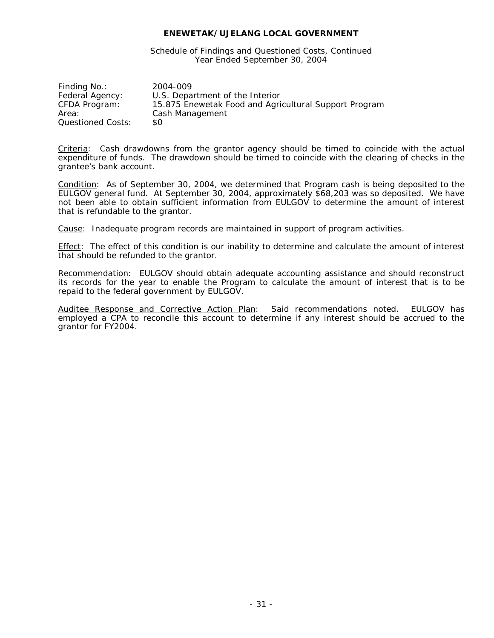Schedule of Findings and Questioned Costs, Continued Year Ended September 30, 2004

Finding No.: 2004-009 Federal Agency: U.S. Department of the Interior CFDA Program: 15.875 Enewetak Food and Agricultural Support Program Area: Cash Management Questioned Costs: \$0

Criteria: Cash drawdowns from the grantor agency should be timed to coincide with the actual expenditure of funds. The drawdown should be timed to coincide with the clearing of checks in the grantee's bank account.

Condition: As of September 30, 2004, we determined that Program cash is being deposited to the EULGOV general fund. At September 30, 2004, approximately \$68,203 was so deposited. We have not been able to obtain sufficient information from EULGOV to determine the amount of interest that is refundable to the grantor.

Cause: Inadequate program records are maintained in support of program activities.

Effect: The effect of this condition is our inability to determine and calculate the amount of interest that should be refunded to the grantor.

Recommendation: EULGOV should obtain adequate accounting assistance and should reconstruct its records for the year to enable the Program to calculate the amount of interest that is to be repaid to the federal government by EULGOV.

Auditee Response and Corrective Action Plan: Said recommendations noted. EULGOV has employed a CPA to reconcile this account to determine if any interest should be accrued to the grantor for FY2004.